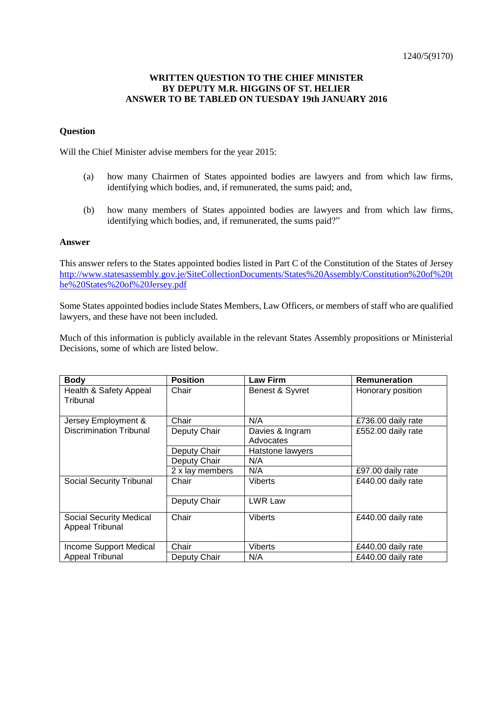## **WRITTEN QUESTION TO THE CHIEF MINISTER BY DEPUTY M.R. HIGGINS OF ST. HELIER ANSWER TO BE TABLED ON TUESDAY 19th JANUARY 2016**

## **Question**

Will the Chief Minister advise members for the year 2015:

- (a) how many Chairmen of States appointed bodies are lawyers and from which law firms, identifying which bodies, and, if remunerated, the sums paid; and,
- (b) how many members of States appointed bodies are lawyers and from which law firms, identifying which bodies, and, if remunerated, the sums paid?"

## **Answer**

This answer refers to the States appointed bodies listed in Part C of the Constitution of the States of Jersey [http://www.statesassembly.gov.je/SiteCollectionDocuments/States%20Assembly/Constitution%20of%20t](http://www.statesassembly.gov.je/SiteCollectionDocuments/States%20Assembly/Constitution%20of%20the%20States%20of%20Jersey.pdf) [he%20States%20of%20Jersey.pdf](http://www.statesassembly.gov.je/SiteCollectionDocuments/States%20Assembly/Constitution%20of%20the%20States%20of%20Jersey.pdf)

Some States appointed bodies include States Members, Law Officers, or members of staff who are qualified lawyers, and these have not been included.

Much of this information is publicly available in the relevant States Assembly propositions or Ministerial Decisions, some of which are listed below.

| <b>Body</b>                                       | <b>Position</b> | <b>Law Firm</b>              | Remuneration       |
|---------------------------------------------------|-----------------|------------------------------|--------------------|
| Health & Safety Appeal<br>Tribunal                | Chair           | Benest & Syvret              | Honorary position  |
| Jersey Employment &                               | Chair           | N/A                          | £736.00 daily rate |
| <b>Discrimination Tribunal</b>                    | Deputy Chair    | Davies & Ingram<br>Advocates | £552.00 daily rate |
|                                                   | Deputy Chair    | Hatstone lawyers             |                    |
|                                                   | Deputy Chair    | N/A                          |                    |
|                                                   | 2 x lay members | N/A                          | £97.00 daily rate  |
| Social Security Tribunal                          | Chair           | Viberts                      | £440.00 daily rate |
|                                                   | Deputy Chair    | LWR Law                      |                    |
| <b>Social Security Medical</b><br>Appeal Tribunal | Chair           | Viberts                      | £440.00 daily rate |
| Income Support Medical                            | Chair           | <b>Viberts</b>               | £440.00 daily rate |
| <b>Appeal Tribunal</b>                            | Deputy Chair    | N/A                          | £440.00 daily rate |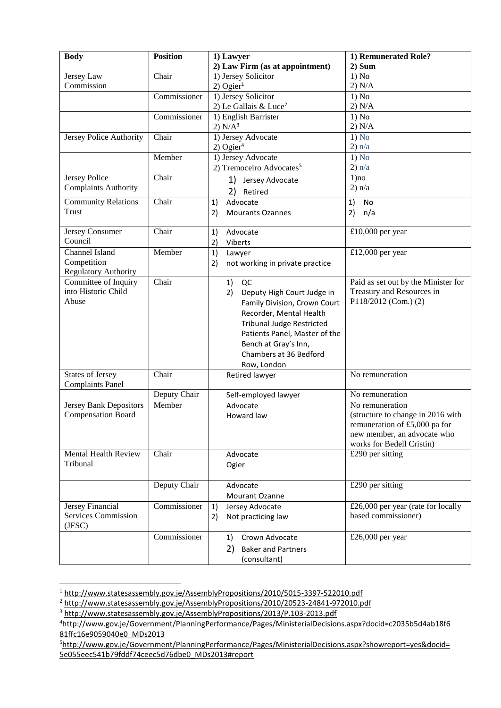| <b>Body</b>                 | <b>Position</b> | 1) Lawyer                             | 1) Remunerated Role?                |
|-----------------------------|-----------------|---------------------------------------|-------------------------------------|
|                             |                 | 2) Law Firm (as at appointment)       | 2) Sum                              |
| Jersey Law                  | Chair           | 1) Jersey Solicitor                   | 1) No                               |
| Commission                  |                 | $2)$ Ogier <sup>1</sup>               | 2) N/A                              |
|                             | Commissioner    | 1) Jersey Solicitor                   | 1) No                               |
|                             |                 | 2) Le Gallais & Luce <sup>2</sup>     | 2) N/A                              |
|                             | Commissioner    | 1) English Barrister                  | 1) No                               |
|                             |                 | 2) N/A <sup>3</sup>                   | 2) N/A                              |
| Jersey Police Authority     | Chair           | 1) Jersey Advocate                    | 1) No                               |
|                             |                 | $2)$ Ogier <sup>4</sup>               | 2) n/a                              |
|                             | Member          | 1) Jersey Advocate                    | 1) No                               |
|                             |                 | 2) Tremoceiro Advocates <sup>5</sup>  | 2) n/a                              |
| Jersey Police               | Chair           |                                       | $1)$ no                             |
| <b>Complaints Authority</b> |                 | 1)<br>Jersey Advocate                 | 2) n/a                              |
|                             |                 | 2)<br>Retired                         |                                     |
| <b>Community Relations</b>  | Chair           | Advocate<br>1)                        | 1)<br><b>No</b>                     |
| Trust                       |                 | 2)<br><b>Mourants Ozannes</b>         | 2)<br>n/a                           |
|                             |                 |                                       |                                     |
| Jersey Consumer             | Chair           | Advocate<br>1)                        | £10,000 per year                    |
| Council                     |                 | 2)<br>Viberts                         |                                     |
| <b>Channel Island</b>       | Member          | 1)<br>Lawyer                          | £12,000 per year                    |
| Competition                 |                 | 2)<br>not working in private practice |                                     |
| <b>Regulatory Authority</b> |                 |                                       |                                     |
| Committee of Inquiry        | Chair           | QC<br>1)                              | Paid as set out by the Minister for |
| into Historic Child         |                 | 2)<br>Deputy High Court Judge in      | Treasury and Resources in           |
| Abuse                       |                 | Family Division, Crown Court          | P118/2012 (Com.) (2)                |
|                             |                 | Recorder, Mental Health               |                                     |
|                             |                 | <b>Tribunal Judge Restricted</b>      |                                     |
|                             |                 | Patients Panel, Master of the         |                                     |
|                             |                 | Bench at Gray's Inn,                  |                                     |
|                             |                 | Chambers at 36 Bedford                |                                     |
|                             |                 | Row, London                           |                                     |
| <b>States of Jersey</b>     | Chair           | <b>Retired lawyer</b>                 | No remuneration                     |
| <b>Complaints Panel</b>     |                 |                                       |                                     |
|                             | Deputy Chair    | Self-employed lawyer                  | No remuneration                     |
| Jersey Bank Depositors      | Member          | Advocate                              | No remuneration                     |
| Compensation Board          |                 | Howard law                            | (structure to change in 2016 with   |
|                             |                 |                                       | remuneration of £5,000 pa for       |
|                             |                 |                                       | new member, an advocate who         |
|                             |                 |                                       | works for Bedell Cristin)           |
| Mental Health Review        | Chair           | Advocate                              | £290 per sitting                    |
| Tribunal                    |                 | Ogier                                 |                                     |
|                             |                 |                                       |                                     |
|                             | Deputy Chair    | Advocate                              | £290 per sitting                    |
|                             |                 | Mourant Ozanne                        |                                     |
| Jersey Financial            | Commissioner    | Jersey Advocate<br>1)                 | £26,000 per year (rate for locally  |
| <b>Services Commission</b>  |                 | 2)<br>Not practicing law              | based commissioner)                 |
| (JFSC)                      |                 |                                       |                                     |
|                             | Commissioner    | Crown Advocate<br>1)                  | £26,000 per year                    |
|                             |                 |                                       |                                     |
|                             |                 | 2)<br><b>Baker and Partners</b>       |                                     |
|                             |                 | (consultant)                          |                                     |

<sup>&</sup>lt;sup>1</sup> <http://www.statesassembly.gov.je/AssemblyPropositions/2010/5015-3397-522010.pdf>

l

<sup>&</sup>lt;sup>2</sup> <http://www.statesassembly.gov.je/AssemblyPropositions/2010/20523-24841-972010.pdf>

<sup>3</sup> <http://www.statesassembly.gov.je/AssemblyPropositions/2013/P.103-2013.pdf>

<sup>4</sup>[http://www.gov.je/Government/PlanningPerformance/Pages/MinisterialDecisions.aspx?docid=c2035b5d4ab18f6](http://www.gov.je/Government/PlanningPerformance/Pages/MinisterialDecisions.aspx?docid=c2035b5d4ab18f681ffc16e9059040e0_MDs2013) [81ffc16e9059040e0\\_MDs2013](http://www.gov.je/Government/PlanningPerformance/Pages/MinisterialDecisions.aspx?docid=c2035b5d4ab18f681ffc16e9059040e0_MDs2013)

<sup>5</sup>[http://www.gov.je/Government/PlanningPerformance/Pages/MinisterialDecisions.aspx?showreport=yes&docid=](http://www.gov.je/Government/PlanningPerformance/Pages/MinisterialDecisions.aspx?showreport=yes&docid=5e055eec541b79fddf74ceec5d76dbe0_MDs2013#report) [5e055eec541b79fddf74ceec5d76dbe0\\_MDs2013#report](http://www.gov.je/Government/PlanningPerformance/Pages/MinisterialDecisions.aspx?showreport=yes&docid=5e055eec541b79fddf74ceec5d76dbe0_MDs2013#report)